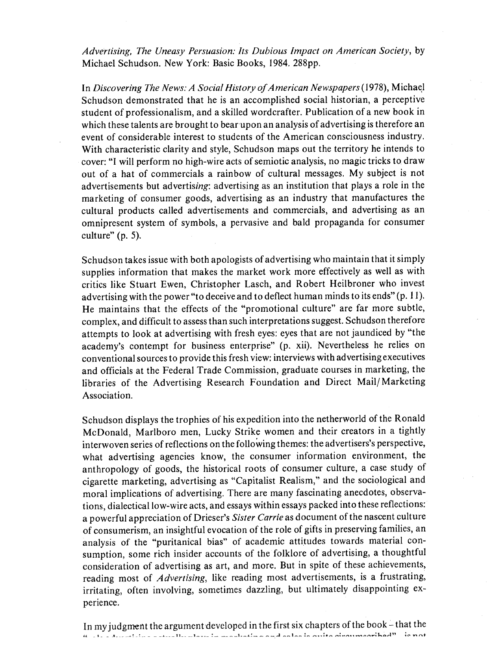*Advertising, The Uneasy Persuasion: Its Dubious Impact on American Society, by* Michael Schudson, New York: Basic Books, 1984, 288pp.

*In Discovering The News: A Social History of American Newspapers (1978), Michael* Schudson demonstrated that he is an accomplished social historian, a perceptive student of professionalism, and a skilled wordcrafter. Publication of a new book in which these talents are brought to bear upon an analysis of advertising is therefore an event of considerable interest to students of the American consciousness industry. With characteristic clarity and style, Schudson maps out the territory he intends to cover: "I will perform no high-wire acts of semiotic analysis, no magic tricks to draw out of a hat of commercials a rainbow of cultural messages. My subject is not advertisements but advertising: advertising as an institution that plays a role in the marketing of consumer goods, advertising as an industry that manufactures the cultural products called advertisements and commercials, and advertising as an omnipresent system of symbols, a pervasive and bald propaganda for consumer culture" (p. 5).

Schudson takes issue with both apologists of advertising who maintain that it simply supplies information that makes the market work more effectively as well as with critics like Stuart Ewen, Christopher Lasch, and Robert Heilbroner who invest advertising with the power "to deceive and to deflect human minds to its ends" (p. 11). He maintains that the effects of the "promotional culture" are far more subtle, complex, and difficult to assess than such interpretations suggest. Schudson therefore attempts to look at advertising with fresh eyes: eyes that are not jaundiced by "the academy's contempt for business enterprise" (p. xii). Nevertheless he relies on conventional sources to provide this fresh view: interviews with advertising executives and officials at the Federal Trade Commission, graduate courses in marketing, the libraries of the Advertising Research Foundation and Direct Mail/ Marketing Association.

Schudson displays the trophies of his expedition into the netherworld of the Ronald McDonald, Marlboro men, Lucky Strike women and their creators in a tightly interwoven series of reflections on the following themes: the advertisers's perspective, what advertising agencies know, the consumer information environment, the anthropology of goods, the historical roots of consumer culture, a case study of cigarette marketing, advertising as "Capitalist Realism," and the sociological and moral implications of advertising. There are many fascinating anecdotes, observations, dialectical low-wire acts, and essays within essays packed into these reflections: a powerful appreciation of Drieser's *Sister Carrie* as document of the nascent culture of consumerism, an insightful evocation of the role of gifts in preserving families, an analysis of the "puritanical bias" of academic attitudes towards material consumption, some rich insider accounts of the folklore of advertising, a thoughtful consideration of advertising as art, and more. But in spite of these achievements, reading most of *Advertising,* like reading most advertisements, is a frustrating, irritating, often involving, sometimes dazzling, but ultimately disappointing experience.

In my judgment the argument developed in the first six chapters of the book - that the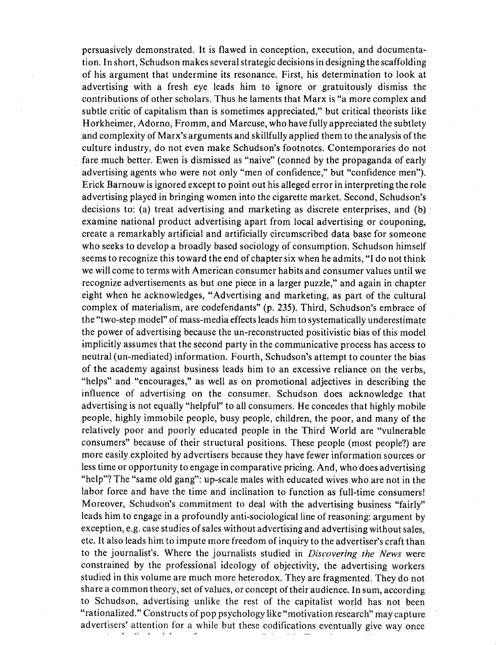persuasively demonstrated. It is flawed in conception, execution, and documentation, In short, Schudson makes several strategic decisions in designing the scaffolding of his argument that undermine its resonance. First, his determination to look at advertising with a fresh eye leads him to ignore or gratuitously dismiss the contributions of other scholars. Thus he laments that Marx is "a more complex and subtle critic of capitalism than is sometimes appreciated," but critical theorists like Horkheimer, Adorno, Fromm, and Marcuse, who have fully appreciated the subtlety and complexity of Marx's arguments and skillfully applied them to the analysis of the culture industry, do not even make Schudson's footnotes. Contemporaries do not fare much better. Ewen is dismissed as "naive" (conned by the propaganda of early advertising agents who were not only "men of confidence," but "confidence men"). Erick Barnouw is ignored except to point out his alleged error in interpreting the role advertising played in bringing women into the cigarette market. Second, Schudson's decisions to: (a) treat advertising and marketing as discrete enterprises, and (b) examine national product advertising apart from local advertising or couponing, create a remarkably artificial and artificially circumscribed data base for someone who seeks to develop a broadly based sociology of consumption. Schudson himself seems to recognize this toward the end of chapter six when he admits, "I do not think we will come to terms with American consumer habits and consumer values until we recognize advertisements as but one piece in a larger puzzle," and again in chapter eight when he acknowledges, "Advertising and marketing, as part of the cultural complex of materialism, are codefendants" (p. 235). Third, Schudson's embrace of the "two-step model" of mass-media effects leads him to systematically underestimate the power of advertising because the un-reconstructed positivistic bias of this model implicitly assumes that the second party in the communicative process has access to neutral (un-mediated) information. Fourth, Schudson's attempt to counter the bias of the academy against business leads him to an excessive reliance on the verbs, "helps" and "encourages," as well as on promotional adjectives in describing the influence of advertising on the consumer. Schudson does acknowledge that advertising is not equally "helpful" to all consumers. He concedes that highly mobile people, highly immobile people, busy people, children, the poor, and many of the relatively poor and poorly educated people in the Third World are "vulnerable consumers" because of their structural positions. These people (most people?) are more easily exploited by advertisers because they have fewer information sources or less time or opportunity to engage in comparative pricing. And, who does advertising "help"? The "same old gang": up-scale males with educated wives who are not in the labor force and have the time and inclination to function as full-time consumers! Moreover, Schudson's commitment to deal with the advertising business "fairly" leads him to engage in a profoundly anti-sociological line of reasoning: argument by exception, e.g. case studies of sales without advertising and advertising without sales, etc. It also leads him to impute more freedom of inquiry to the advertiser's craft than to the journalist's. Where the journalists studied in *Discovering the News* were constrained by the professional ideology of objectivity, the advertising workers studied in this volume are much more heterodox. They are fragmented. They do not share a common theory, set of values, or concept of their audience. In sum, according to Schudson, advertising unlike the rest of the capitalist world has not been "rationalized." Constructs of pop psychology like "motivation research" may capture advertisers' attention for a while but these codifications eventually give way once

 $\Delta\sigma_{\rm c}$  ,  $\Delta\sigma_{\rm c}$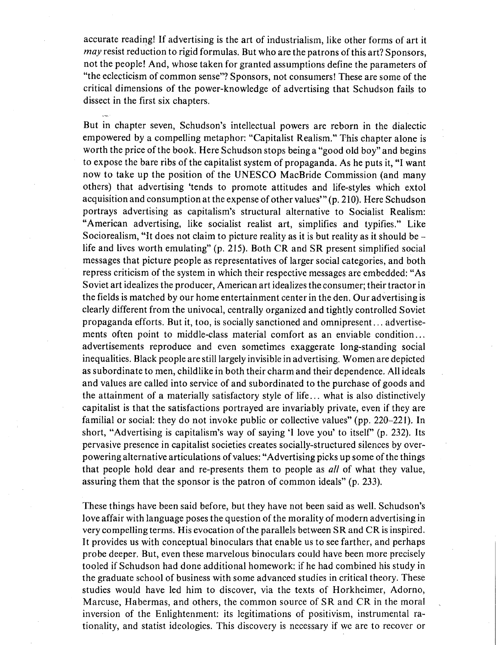accurate reading! If advertising is the art of industrialism, like other forms of art it *may* resist reduction to rigid formulas. But who are the patrons of this art? Sponsors, not the people! And, whose taken for granted assumptions define the parameters of "the eclecticism of common sense"? Sponsors, not consumers! These are some of the critical dimensions of the power-knowledge of advertising that Schudson fails to dissect in the first six chapters.

But in chapter seven, Schudson's intellectual powers are reborn in the dialectic empowered by a compelling metaphor: "Capitalist Realism." This chapter alone is worth the price of the book. Here Schudson stops being a "good old boy" and begins to expose the bare ribs of the capitalist system of propaganda. As he puts it, "I want now to take up the position of the UNESCO MacBride Commission (and many others) that advertising 'tends to promote attitudes and life-styles which extol acquisition and consumption at the expense of other values" (p. 210). Here Schudson portrays advertising as capitalism's structural alternative to Socialist Realism: "American advertising, like socialist realist art, simplifies and typifies." Like Sociorealism, "It does not claim to picture reality as it is but reality as it should be life and lives worth emulating" (p. 215). Both CR and SR present simplified social messages that picture people as representatives of larger social categories, and both repress criticism of the system in which their respective messages are embedded: "As Soviet art idealizes the producer, American art idealizes the consumer; their tractor in the fields is matched by our home entertainment center in the den. Our advertising is clearly different from the univocal, centrally organized and tightly controlled Soviet propaganda efforts. But it, too, is socially sanctioned and omnipresent... advertisements often point to middle-class material comfort as an enviable condition... advertisements reproduce and even sometimes exaggerate long-standing social inequalities. Black people are still largely invisible in advertising. Women are depicted as subordinate to men, childlike in both their charm and their dependence. All ideals and values are called into service of and subordinated to the purchase of goods and the attainment of a materially satisfactory style of life... what is also distinctively capitalist is that the satisfactions portrayed are invariably private, even if they are familial or social: they do not invoke public or collective values" (pp. 220-221). In short, "Advertising is capitalism's way of saying 'I love you' to itself" (p. 232). Its pervasive presence in capitalist societies creates socially-structured silences by overpowering alternative articulations of values: "Advertising picks up some of the things that people hold dear and re-presents them to people as *all* of what they value, assuring them that the sponsor is the patron of common ideals" (p. 233).

These things have been said before, but they have not been said as well. Schudson's love affair with language poses the question of the morality of modern advertising in very compelling terms. His evocation of the parallels between SR and CR is inspired. It provides us with conceptual binoculars that enable us to see farther, and perhaps probe deeper. But, even these marvelous binoculars could have been more precisely tooled if Schudson had done additional homework: if he had combined his study in the graduate school of business with some advanced studies in critical theory. These studies would have led him to discover, via the texts of Horkheimer, Adorno, Marcuse, Habermas, and others, the common source of SR and CR in the moral inversion of the Enlightenment: its legitimations of positivism, instrumental rationality, and statist ideologies. This discovery is necessary if we are to recover or